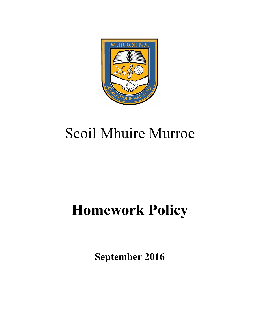

# Scoil Mhuire Murroe

# **Homework Policy**

**September 2016**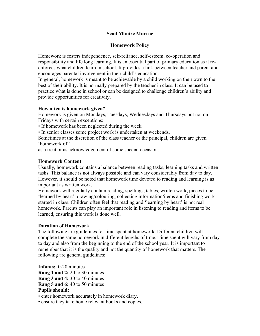#### **Scoil Mhuire Murroe**

#### **Homework Policy**

Homework is fosters independence, self-reliance, self-esteem, co-operation and responsibility and life long learning. It is an essential part of primary education as it reenforces what children learn in school. It provides a link between teacher and parent and encourages parental involvement in their child's education.

In general, homework is meant to be achievable by a child working on their own to the best of their ability. It is normally prepared by the teacher in class. It can be used to practice what is done in school or can be designed to challenge children's ability and provide opportunities for creativity.

#### **How often is homework given?**

Homework is given on Mondays, Tuesdays, Wednesdays and Thursdays but not on Fridays with certain exceptions:

• If homework has been neglected during the week

• In senior classes some project work is undertaken at weekends.

Sometimes at the discretion of the class teacher or the principal, children are given 'homework off'

as a treat or as acknowledgement of some special occasion.

#### **Homework Content**

Usually, homework contains a balance between reading tasks, learning tasks and written tasks. This balance is not always possible and can vary considerably from day to day. However, it should be noted that homework time devoted to reading and learning is as important as written work.

Homework will regularly contain reading, spellings, tables, written work, pieces to be 'learned by heart', drawing/colouring, collecting information/items and finishing work started in class. Children often feel that reading and 'learning by heart' is not real homework. Parents can play an important role in listening to reading and items to be learned, ensuring this work is done well.

#### **Duration of Homework**

The following are guidelines for time spent at homework. Different children will complete the same homework in different lengths of time. Time spent will vary from day to day and also from the beginning to the end of the school year. It is important to remember that it is the quality and not the quantity of homework that matters. The following are general guidelines:

**Infants:** 0-20 minutes **Rang 1 and 2:** 20 to 30 minutes **Rang 3 and 4:** 30 to 40 minutes **Rang 5 and 6:** 40 to 50 minutes **Pupils should:**

• enter homework accurately in homework diary.

• ensure they take home relevant books and copies.